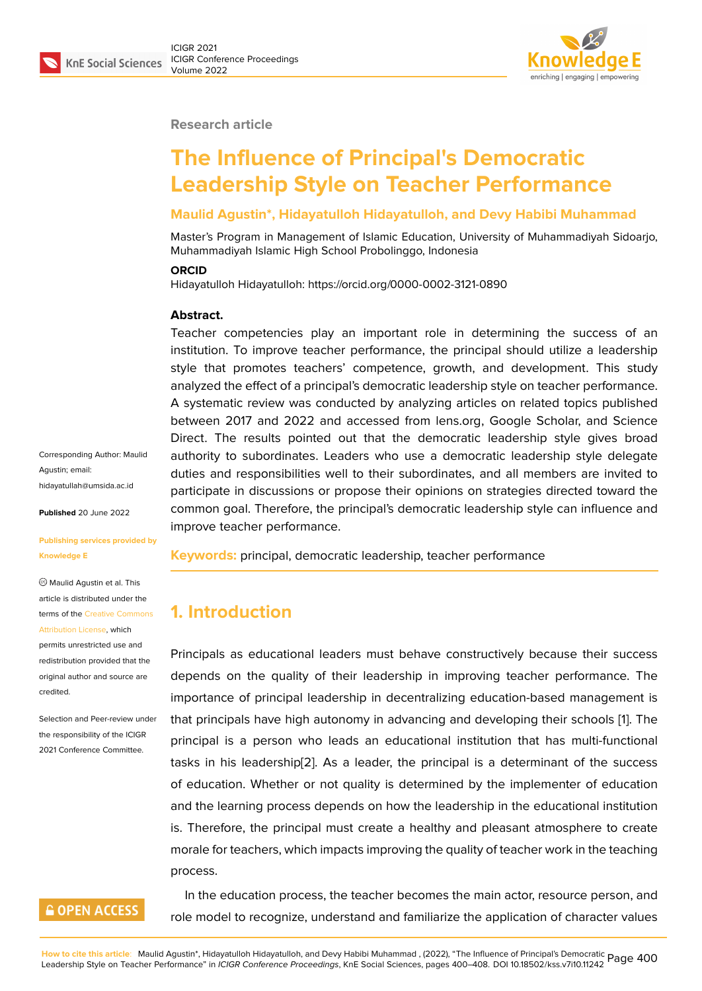### **Research article**

# **The Influence of Principal's Democratic Leadership Style on Teacher Performance**

### **Maulid Agustin\*, Hidayatulloh Hidayatulloh, and Devy Habibi Muhammad**

Master's Program in Management of Islamic Education, University of Muhammadiyah Sidoarjo, Muhammadiyah Islamic High School Probolinggo, Indonesia

### **ORCID**

Hidayatulloh Hidayatulloh: https://orcid.org/0000-0002-3121-0890

### **Abstract.**

Teacher competencies play an important role in determining the success of an institution. To improve teacher performance, the principal should utilize a leadership style that promotes teachers' competence, growth, and development. This study analyzed the effect of a principal's democratic leadership style on teacher performance. A systematic review was conducted by analyzing articles on related topics published between 2017 and 2022 and accessed from lens.org, Google Scholar, and Science Direct. The results pointed out that the democratic leadership style gives broad authority to subordinates. Leaders who use a democratic leadership style delegate duties and responsibilities well to their subordinates, and all members are invited to participate in discussions or propose their opinions on strategies directed toward the common goal. Therefore, the principal's democratic leadership style can influence and improve teacher performance.

**Keywords:** principal, democratic leadership, teacher performance

# **1. Introduction**

Principals as educational leaders must behave constructively because their success depends on the quality of their leadership in improving teacher performance. The importance of principal leadership in decentralizing education-based management is that principals have high autonomy in advancing and developing their schools [1]. The principal is a person who leads an educational institution that has multi-functional tasks in his leadership[2]. As a leader, the principal is a determinant of the success of education. Whether or not quality is determined by the implementer of ed[uc](#page-6-0)ation and the learning process depends on how the leadership in the educational institution is. Therefore, the princ[ipa](#page-6-1)l must create a healthy and pleasant atmosphere to create morale for teachers, which impacts improving the quality of teacher work in the teaching process.

In the education process, the teacher becomes the main actor, resource person, and role model to recognize, understand and familiarize the application of character values

Corresponding Author: Maulid Agustin; email: hidayatullah@umsida.ac.id

**Published** 20 June 2022

### **[Publishing services provid](mailto:hidayatullah@umsida.ac.id)ed by Knowledge E**

Maulid Agustin et al. This article is distributed under the terms of the Creative Commons Attribution License, which

permits unrestricted use and redistribution provided that the original auth[or and source are](https://creativecommons.org/licenses/by/4.0/) [credited.](https://creativecommons.org/licenses/by/4.0/)

Selection and Peer-review under the responsibility of the ICIGR 2021 Conference Committee.

### **GOPEN ACCESS**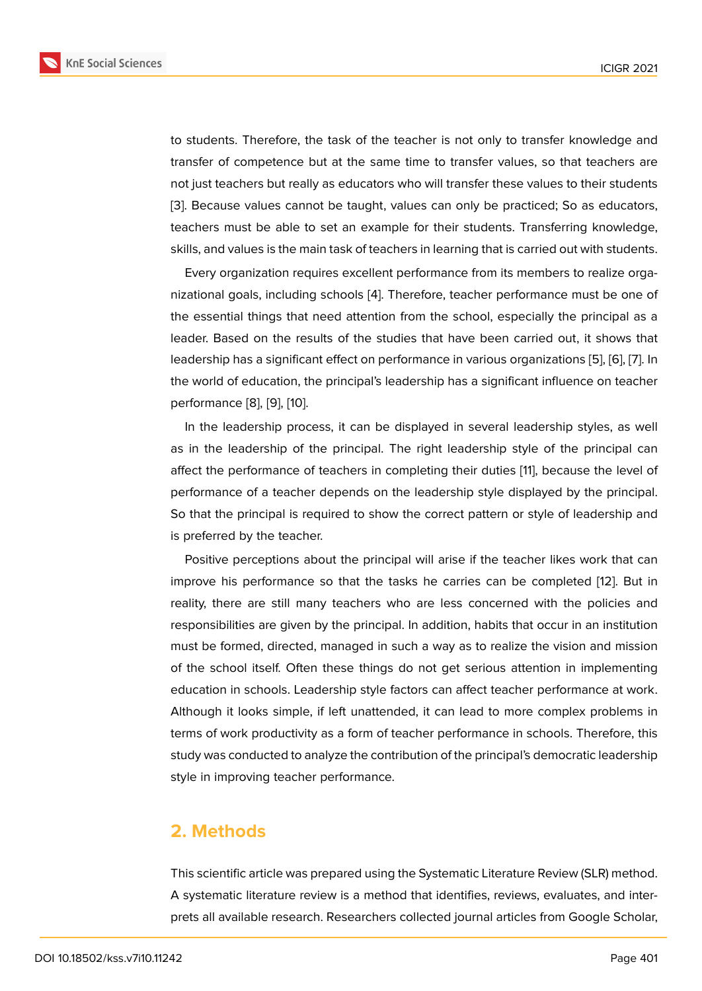to students. Therefore, the task of the teacher is not only to transfer knowledge and transfer of competence but at the same time to transfer values, so that teachers are not just teachers but really as educators who will transfer these values to their students [3]. Because values cannot be taught, values can only be practiced; So as educators, teachers must be able to set an example for their students. Transferring knowledge, skills, and values is the main task of teachers in learning that is carried out with students.

Every organization requires excellent performance from its members to realize organizational goals, including schools [4]. Therefore, teacher performance must be one of the essential things that need attention from the school, especially the principal as a leader. Based on the results of the studies that have been carried out, it shows that leadership has a significant effect o[n](#page-6-2) performance in various organizations [5], [6], [7]. In the world of education, the principal's leadership has a significant influence on teacher performance [8], [9], [10].

In the leadership process, it can be displayed in several leadership st[yle](#page-6-3)s[, a](#page-6-4)s [w](#page-6-5)ell as in the leadership of the principal. The right leadership style of the principal can affect the per[fo](#page-7-0)r[ma](#page-7-1)n[ce](#page-7-2) of teachers in completing their duties [11], because the level of performance of a teacher depends on the leadership style displayed by the principal. So that the principal is required to show the correct pattern or style of leadership and is preferred by the teacher.

Positive perceptions about the principal will arise if the teacher likes work that can improve his performance so that the tasks he carries can be completed [12]. But in reality, there are still many teachers who are less concerned with the policies and responsibilities are given by the principal. In addition, habits that occur in an institution must be formed, directed, managed in such a way as to realize the vision a[nd](#page-7-3) mission of the school itself. Often these things do not get serious attention in implementing education in schools. Leadership style factors can affect teacher performance at work. Although it looks simple, if left unattended, it can lead to more complex problems in terms of work productivity as a form of teacher performance in schools. Therefore, this study was conducted to analyze the contribution of the principal's democratic leadership style in improving teacher performance.

### **2. Methods**

This scientific article was prepared using the Systematic Literature Review (SLR) method. A systematic literature review is a method that identifies, reviews, evaluates, and interprets all available research. Researchers collected journal articles from Google Scholar,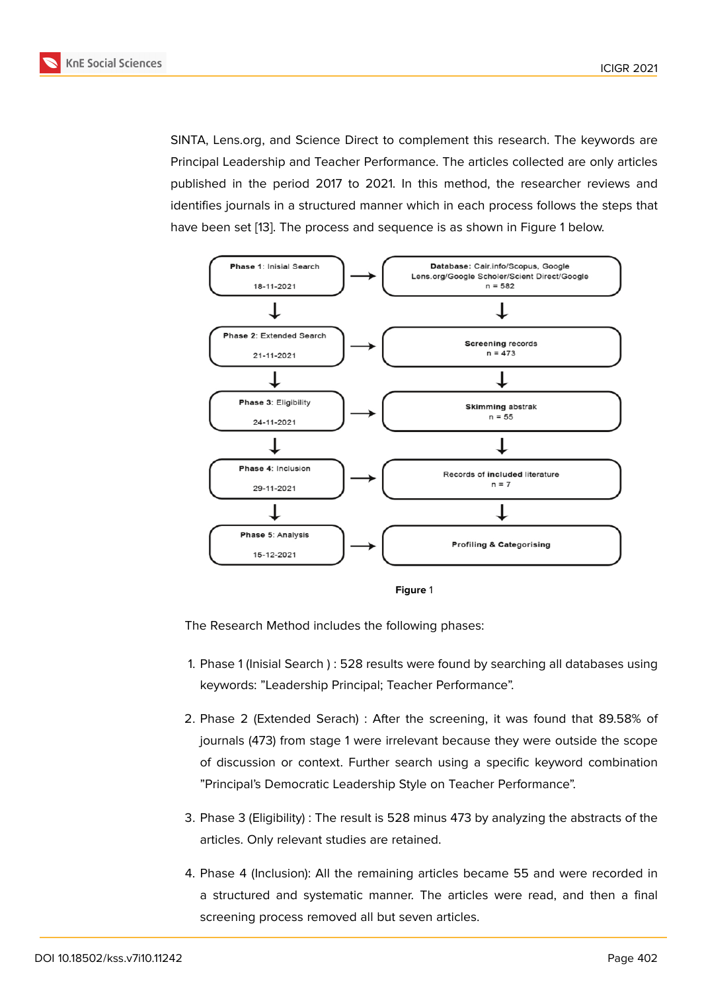SINTA, Lens.org, and Science Direct to complement this research. The keywords are Principal Leadership and Teacher Performance. The articles collected are only articles published in the period 2017 to 2021. In this method, the researcher reviews and identifies journals in a structured manner which in each process follows the steps that have been set [13]. The process and sequence is as shown in Figure 1 below.



**Figure** 1

The Research Method includes the following phases:

- 1. Phase 1 (Inisial Search ) : 528 results were found by searching all databases using keywords: "Leadership Principal; Teacher Performance".
- 2. Phase 2 (Extended Serach) : After the screening, it was found that 89.58% of journals (473) from stage 1 were irrelevant because they were outside the scope of discussion or context. Further search using a specific keyword combination "Principal's Democratic Leadership Style on Teacher Performance".
- 3. Phase 3 (Eligibility) : The result is 528 minus 473 by analyzing the abstracts of the articles. Only relevant studies are retained.
- 4. Phase 4 (Inclusion): All the remaining articles became 55 and were recorded in a structured and systematic manner. The articles were read, and then a final screening process removed all but seven articles.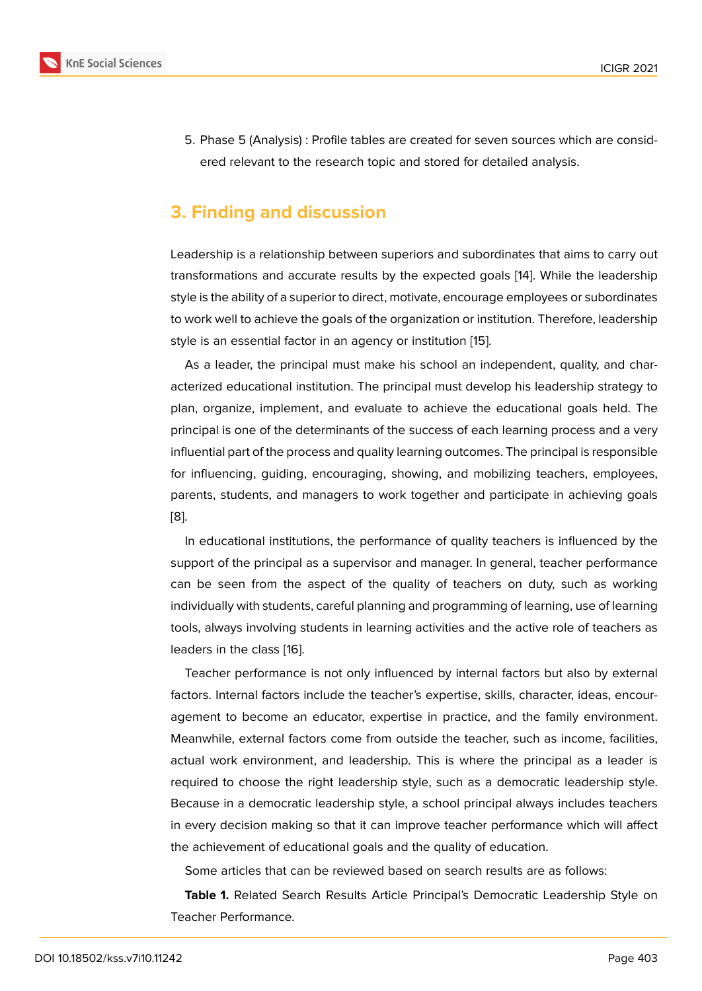5. Phase 5 (Analysis) : Profile tables are created for seven sources which are considered relevant to the research topic and stored for detailed analysis.

# **3. Finding and discussion**

Leadership is a relationship between superiors and subordinates that aims to carry out transformations and accurate results by the expected goals [14]. While the leadership style is the ability of a superior to direct, motivate, encourage employees or subordinates to work well to achieve the goals of the organization or institution. Therefore, leadership style is an essential factor in an agency or institution [15].

As a leader, the principal must make his school an independent, quality, and characterized educational institution. The principal must develop his leadership strategy to plan, organize, implement, and evaluate to achieve [the](#page-7-4) educational goals held. The principal is one of the determinants of the success of each learning process and a very influential part of the process and quality learning outcomes. The principal is responsible for influencing, guiding, encouraging, showing, and mobilizing teachers, employees, parents, students, and managers to work together and participate in achieving goals [8].

In educational institutions, the performance of quality teachers is influenced by the support of the principal as a supervisor and manager. In general, teacher performance [ca](#page-7-0)n be seen from the aspect of the quality of teachers on duty, such as working individually with students, careful planning and programming of learning, use of learning tools, always involving students in learning activities and the active role of teachers as leaders in the class [16].

Teacher performance is not only influenced by internal factors but also by external factors. Internal factors include the teacher's expertise, skills, character, ideas, encouragement to becom[e a](#page-7-5)n educator, expertise in practice, and the family environment. Meanwhile, external factors come from outside the teacher, such as income, facilities, actual work environment, and leadership. This is where the principal as a leader is required to choose the right leadership style, such as a democratic leadership style. Because in a democratic leadership style, a school principal always includes teachers in every decision making so that it can improve teacher performance which will affect the achievement of educational goals and the quality of education.

Some articles that can be reviewed based on search results are as follows:

**Table 1.** Related Search Results Article Principal's Democratic Leadership Style on Teacher Performance.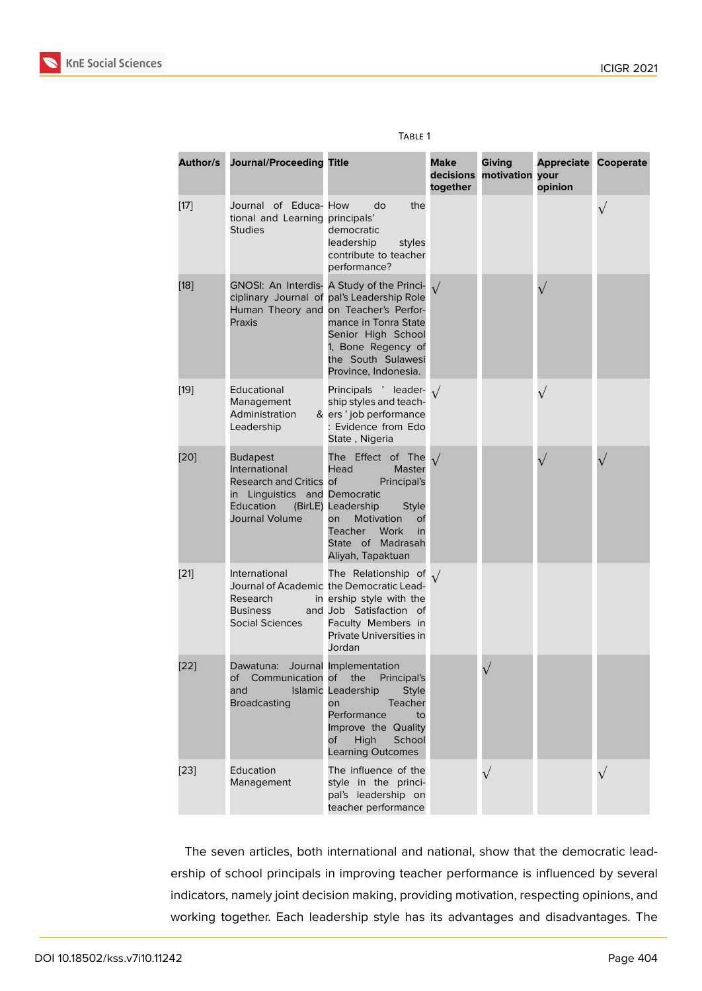| Author/s | <b>Journal/Proceeding Title</b>                                                                                             |                                                                                                                                                                                                                                                     | <b>Make</b><br>decisions<br>together | Giving<br>motivation | <b>Appreciate Cooperate</b><br>your<br>opinion |           |
|----------|-----------------------------------------------------------------------------------------------------------------------------|-----------------------------------------------------------------------------------------------------------------------------------------------------------------------------------------------------------------------------------------------------|--------------------------------------|----------------------|------------------------------------------------|-----------|
| $[17]$   | Journal of Educa- How<br>tional and Learning principals'<br><b>Studies</b>                                                  | do<br>the<br>democratic<br>leadership<br>styles<br>contribute to teacher<br>performance?                                                                                                                                                            |                                      |                      |                                                | $\sqrt{}$ |
| $[18]$   | Praxis                                                                                                                      | GNOSI: An Interdis- A Study of the Princi-<br>ciplinary Journal of pal's Leadership Role<br>Human Theory and on Teacher's Perfor-<br>mance in Tonra State<br>Senior High School<br>1, Bone Regency of<br>the South Sulawesi<br>Province, Indonesia. |                                      |                      |                                                |           |
| $[19]$   | Educational<br>Management<br>Administration<br>Leadership                                                                   | Principals ' leader- $\sqrt{}$<br>ship styles and teach-<br>& ers' job performance<br>: Evidence from Edo<br>State, Nigeria                                                                                                                         |                                      |                      |                                                |           |
| [20]     | <b>Budapest</b><br>International<br>Research and Critics of<br>in Linguistics and Democratic<br>Education<br>Journal Volume | The Effect of The<br>Head<br>Master<br>Principal's<br>(BirLE) Leadership<br><b>Style</b><br>Motivation<br><b>on</b><br>оf<br>Teacher<br>Work<br>in<br>State of Madrasah<br>Aliyah, Tapaktuan                                                        |                                      |                      |                                                |           |
| $[21]$   | International<br>Research<br><b>Business</b><br>Social Sciences                                                             | The Relationship of $\sqrt{}$<br>Journal of Academic the Democratic Lead-<br>in ership style with the<br>and Job Satisfaction of<br>Faculty Members in<br>Private Universities in<br>Jordan                                                         |                                      |                      |                                                |           |
| [22]     | Dawatuna:<br>and<br><b>Broadcasting</b>                                                                                     | Journal Implementation<br>of Communication of the Principal's<br>Islamic Leadership<br>Style<br>Teacher<br>on<br>Performance<br>to<br>Improve the Quality<br>High<br>School<br>of<br><b>Learning Outcomes</b>                                       |                                      |                      |                                                |           |
| $[23]$   | Education<br>Management                                                                                                     | The influence of the<br>style in the princi-<br>pal's leadership on<br>teacher performance                                                                                                                                                          |                                      | $\sqrt{}$            |                                                | $\sqrt{}$ |

### Table 1

The seven articles, both international and national, show that the democratic leadership of school principals in improving teacher performance is influenced by several indicators, namely joint decision making, providing motivation, respecting opinions, and working together. Each leadership style has its advantages and disadvantages. The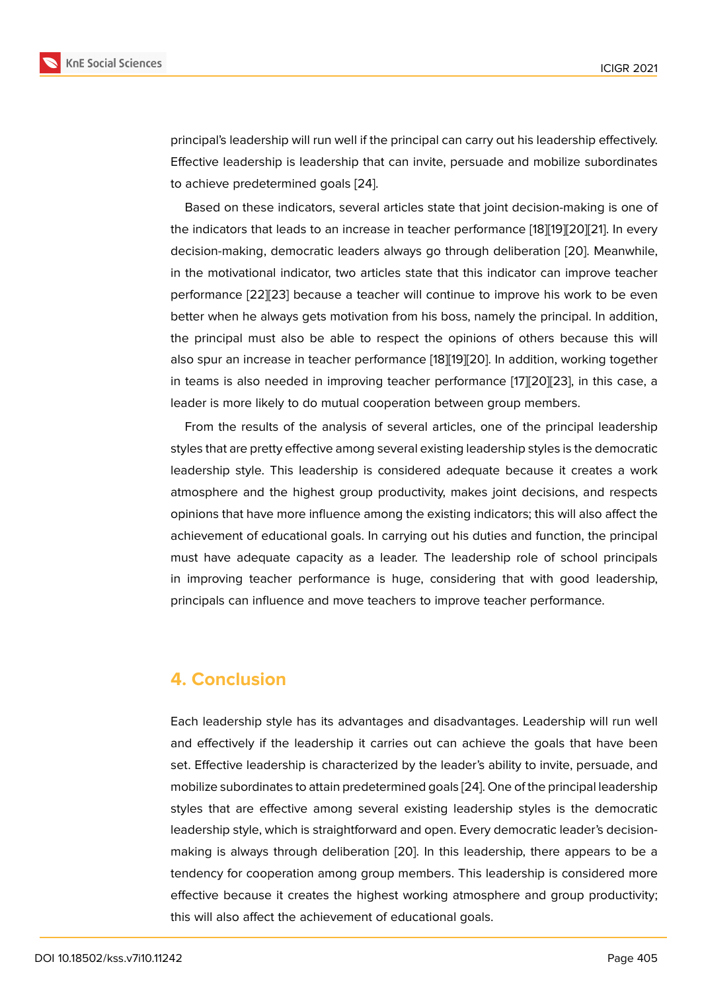principal's leadership will run well if the principal can carry out his leadership effectively. Effective leadership is leadership that can invite, persuade and mobilize subordinates to achieve predetermined goals [24].

Based on these indicators, several articles state that joint decision-making is one of the indicators that leads to an increase in teacher performance [18][19][20][21]. In every decision-making, democratic lea[der](#page-8-1)s always go through deliberation [20]. Meanwhile, in the motivational indicator, two articles state that this indicator can improve teacher performance [22][23] because a teacher will continue to impro[ve h](#page-7-6)[is](#page-8-0) [wor](#page-8-2)[k to](#page-8-3) be even better when he always gets motivation from his boss, namely the prin[cipa](#page-8-2)l. In addition, the principal must also be able to respect the opinions of others because this will also spur an i[ncre](#page-8-4)[ase](#page-8-5) in teacher performance [18][19][20]. In addition, working together in teams is also needed in improving teacher performance [17][20][23], in this case, a leader is more likely to do mutual cooperation between group members.

From the results of the analysis of several [art](#page-7-6)i[cle](#page-8-0)[s, o](#page-8-2)ne of the principal leadership styles that are pretty effective among several existing leaders[hip](#page-7-7) [styl](#page-8-2)[es is](#page-8-5) the democratic leadership style. This leadership is considered adequate because it creates a work atmosphere and the highest group productivity, makes joint decisions, and respects opinions that have more influence among the existing indicators; this will also affect the achievement of educational goals. In carrying out his duties and function, the principal must have adequate capacity as a leader. The leadership role of school principals in improving teacher performance is huge, considering that with good leadership, principals can influence and move teachers to improve teacher performance.

# **4. Conclusion**

Each leadership style has its advantages and disadvantages. Leadership will run well and effectively if the leadership it carries out can achieve the goals that have been set. Effective leadership is characterized by the leader's ability to invite, persuade, and mobilize subordinates to attain predetermined goals [24]. One of the principal leadership styles that are effective among several existing leadership styles is the democratic leadership style, which is straightforward and open. Every democratic leader's decisionmaking is always through deliberation [20]. In this [lea](#page-8-1)dership, there appears to be a tendency for cooperation among group members. This leadership is considered more effective because it creates the highest working atmosphere and group productivity; this will also affect the achievement of e[duc](#page-8-2)ational goals.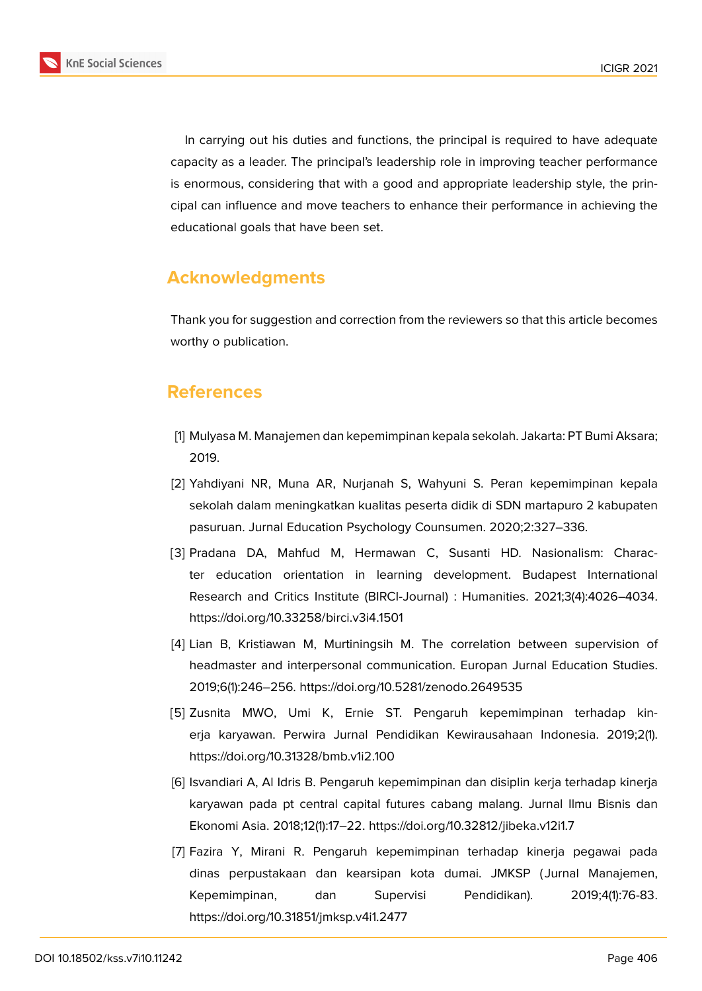

In carrying out his duties and functions, the principal is required to have adequate capacity as a leader. The principal's leadership role in improving teacher performance is enormous, considering that with a good and appropriate leadership style, the principal can influence and move teachers to enhance their performance in achieving the educational goals that have been set.

# **Acknowledgments**

Thank you for suggestion and correction from the reviewers so that this article becomes worthy o publication.

# **References**

- <span id="page-6-0"></span>[1] Mulyasa M. Manajemen dan kepemimpinan kepala sekolah. Jakarta: PT Bumi Aksara; 2019.
- <span id="page-6-1"></span>[2] Yahdiyani NR, Muna AR, Nurjanah S, Wahyuni S. Peran kepemimpinan kepala sekolah dalam meningkatkan kualitas peserta didik di SDN martapuro 2 kabupaten pasuruan. Jurnal Education Psychology Counsumen. 2020;2:327–336.
- [3] Pradana DA, Mahfud M, Hermawan C, Susanti HD. Nasionalism: Character education orientation in learning development. Budapest International Research and Critics Institute (BIRCI-Journal) : Humanities. 2021;3(4):4026–4034. https://doi.org/10.33258/birci.v3i4.1501
- <span id="page-6-2"></span>[4] Lian B, Kristiawan M, Murtiningsih M. The correlation between supervision of headmaster and interpersonal communication. Europan Jurnal Education Studies. 2019;6(1):246–256. https://doi.org/10.5281/zenodo.2649535
- <span id="page-6-3"></span>[5] Zusnita MWO, Umi K, Ernie ST. Pengaruh kepemimpinan terhadap kinerja karyawan. Perwira Jurnal Pendidikan Kewirausahaan Indonesia. 2019;2(1). https://doi.org/10.31328/bmb.v1i2.100
- <span id="page-6-4"></span>[6] Isvandiari A, Al Idris B. Pengaruh kepemimpinan dan disiplin kerja terhadap kinerja karyawan pada pt central capital futures cabang malang. Jurnal Ilmu Bisnis dan Ekonomi Asia. 2018;12(1):17–22. https://doi.org/10.32812/jibeka.v12i1.7
- <span id="page-6-5"></span>[7] Fazira Y, Mirani R. Pengaruh kepemimpinan terhadap kinerja pegawai pada dinas perpustakaan dan kearsipan kota dumai. JMKSP ( Jurnal Manajemen, Kepemimpinan, dan Supervisi Pendidikan). 2019;4(1):76-83. https://doi.org/10.31851/jmksp.v4i1.2477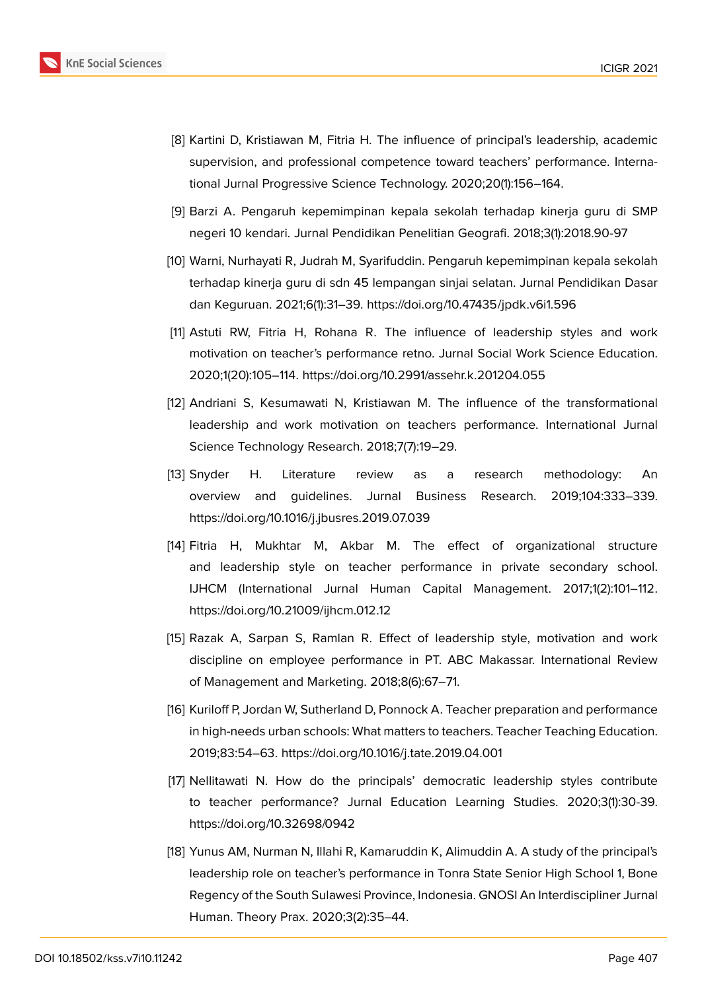

- <span id="page-7-0"></span>[8] Kartini D, Kristiawan M, Fitria H. The influence of principal's leadership, academic supervision, and professional competence toward teachers' performance. International Jurnal Progressive Science Technology. 2020;20(1):156–164.
- <span id="page-7-1"></span>[9] Barzi A. Pengaruh kepemimpinan kepala sekolah terhadap kinerja guru di SMP negeri 10 kendari. Jurnal Pendidikan Penelitian Geografi. 2018;3(1):2018.90-97
- <span id="page-7-2"></span>[10] Warni, Nurhayati R, Judrah M, Syarifuddin. Pengaruh kepemimpinan kepala sekolah terhadap kinerja guru di sdn 45 lempangan sinjai selatan. Jurnal Pendidikan Dasar dan Keguruan. 2021;6(1):31–39. https://doi.org/10.47435/jpdk.v6i1.596
- [11] Astuti RW, Fitria H, Rohana R. The influence of leadership styles and work motivation on teacher's performance retno. Jurnal Social Work Science Education. 2020;1(20):105–114. https://doi.org/10.2991/assehr.k.201204.055
- <span id="page-7-3"></span>[12] Andriani S, Kesumawati N, Kristiawan M. The influence of the transformational leadership and work motivation on teachers performance. International Jurnal Science Technology Research. 2018;7(7):19–29.
- [13] Snyder H. Literature review as a research methodology: An overview and guidelines. Jurnal Business Research. 2019;104:333–339. https://doi.org/10.1016/j.jbusres.2019.07.039
- [14] Fitria H, Mukhtar M, Akbar M. The effect of organizational structure and leadership style on teacher performance in private secondary school. IJHCM (International Jurnal Human Capital Management. 2017;1(2):101–112. https://doi.org/10.21009/ijhcm.012.12
- <span id="page-7-4"></span>[15] Razak A, Sarpan S, Ramlan R. Effect of leadership style, motivation and work discipline on employee performance in PT. ABC Makassar. International Review of Management and Marketing. 2018;8(6):67–71.
- <span id="page-7-5"></span>[16] Kuriloff P, Jordan W, Sutherland D, Ponnock A. Teacher preparation and performance in high-needs urban schools: What matters to teachers. Teacher Teaching Education. 2019;83:54–63. https://doi.org/10.1016/j.tate.2019.04.001
- <span id="page-7-7"></span>[17] Nellitawati N. How do the principals' democratic leadership styles contribute to teacher performance? Jurnal Education Learning Studies. 2020;3(1):30-39. https://doi.org/10.32698/0942
- <span id="page-7-6"></span>[18] Yunus AM, Nurman N, Illahi R, Kamaruddin K, Alimuddin A. A study of the principal's leadership role on teacher's performance in Tonra State Senior High School 1, Bone Regency of the South Sulawesi Province, Indonesia. GNOSI An Interdiscipliner Jurnal Human. Theory Prax. 2020;3(2):35–44.